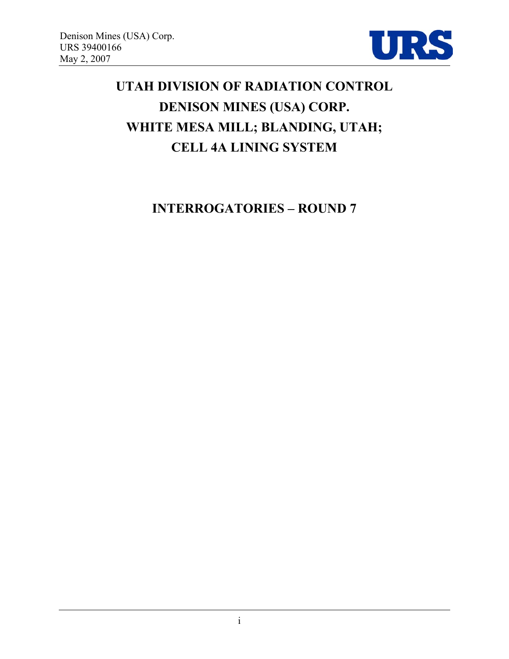

# **UTAH DIVISION OF RADIATION CONTROL DENISON MINES (USA) CORP. WHITE MESA MILL; BLANDING, UTAH; CELL 4A LINING SYSTEM**

**INTERROGATORIES – ROUND 7**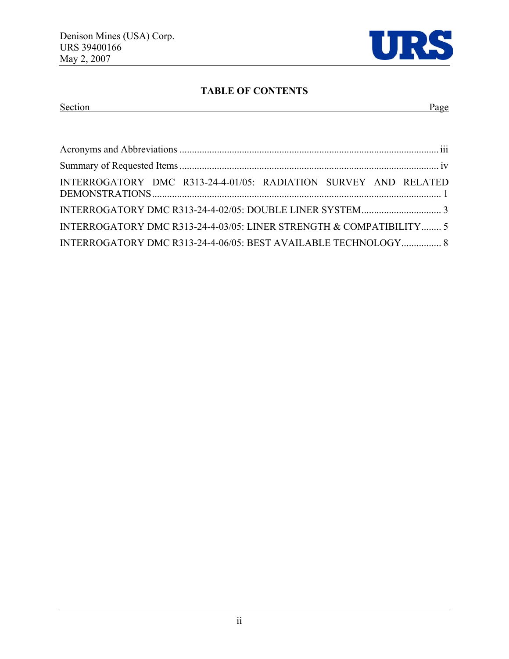

## **TABLE OF CONTENTS**

## Section Page

| INTERROGATORY DMC R313-24-4-01/05: RADIATION SURVEY AND RELATED     |  |
|---------------------------------------------------------------------|--|
|                                                                     |  |
| INTERROGATORY DMC R313-24-4-03/05: LINER STRENGTH & COMPATIBILITY 5 |  |
| INTERROGATORY DMC R313-24-4-06/05: BEST AVAILABLE TECHNOLOGY 8      |  |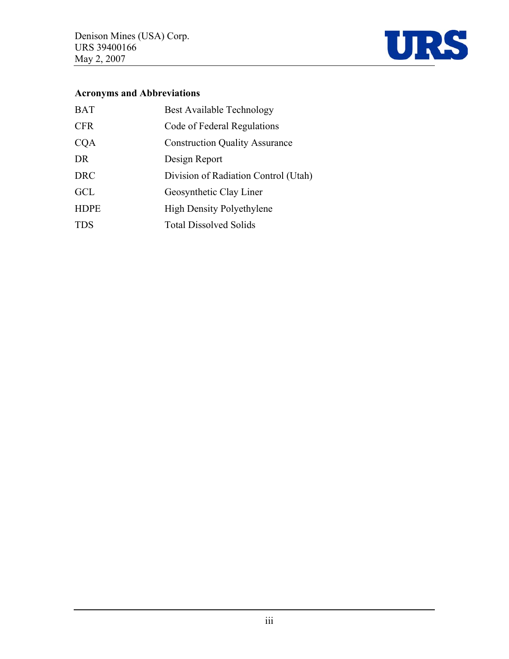

## **Acronyms and Abbreviations**

| <b>BAT</b>  | <b>Best Available Technology</b>      |
|-------------|---------------------------------------|
| <b>CFR</b>  | Code of Federal Regulations           |
| <b>CQA</b>  | <b>Construction Quality Assurance</b> |
| DR          | Design Report                         |
| <b>DRC</b>  | Division of Radiation Control (Utah)  |
| <b>GCL</b>  | Geosynthetic Clay Liner               |
| <b>HDPE</b> | <b>High Density Polyethylene</b>      |
| <b>TDS</b>  | <b>Total Dissolved Solids</b>         |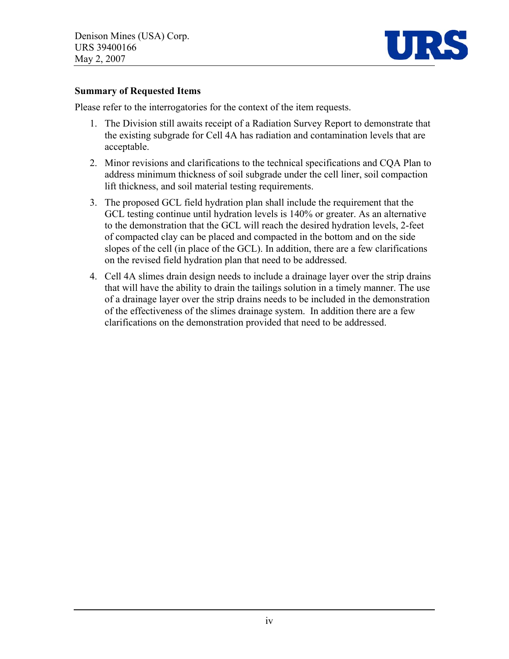

#### **Summary of Requested Items**

Please refer to the interrogatories for the context of the item requests.

- 1. The Division still awaits receipt of a Radiation Survey Report to demonstrate that the existing subgrade for Cell 4A has radiation and contamination levels that are acceptable.
- 2. Minor revisions and clarifications to the technical specifications and CQA Plan to address minimum thickness of soil subgrade under the cell liner, soil compaction lift thickness, and soil material testing requirements.
- 3. The proposed GCL field hydration plan shall include the requirement that the GCL testing continue until hydration levels is 140% or greater. As an alternative to the demonstration that the GCL will reach the desired hydration levels, 2-feet of compacted clay can be placed and compacted in the bottom and on the side slopes of the cell (in place of the GCL). In addition, there are a few clarifications on the revised field hydration plan that need to be addressed.
- 4. Cell 4A slimes drain design needs to include a drainage layer over the strip drains that will have the ability to drain the tailings solution in a timely manner. The use of a drainage layer over the strip drains needs to be included in the demonstration of the effectiveness of the slimes drainage system. In addition there are a few clarifications on the demonstration provided that need to be addressed.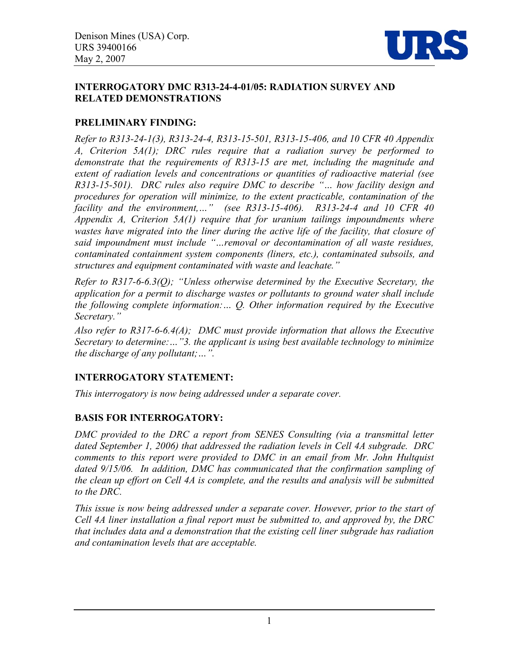

#### **INTERROGATORY DMC R313-24-4-01/05: RADIATION SURVEY AND RELATED DEMONSTRATIONS**

#### **PRELIMINARY FINDING:**

*Refer to R313-24-1(3), R313-24-4, R313-15-501, R313-15-406, and 10 CFR 40 Appendix A, Criterion 5A(1); DRC rules require that a radiation survey be performed to demonstrate that the requirements of R313-15 are met, including the magnitude and extent of radiation levels and concentrations or quantities of radioactive material (see R313-15-501). DRC rules also require DMC to describe "… how facility design and procedures for operation will minimize, to the extent practicable, contamination of the facility and the environment,…" (see R313-15-406). R313-24-4 and 10 CFR 40 Appendix A, Criterion 5A(1) require that for uranium tailings impoundments where*  wastes have migrated into the liner during the active life of the facility, that closure of *said impoundment must include "…removal or decontamination of all waste residues, contaminated containment system components (liners, etc.), contaminated subsoils, and structures and equipment contaminated with waste and leachate."* 

*Refer to R317-6-6.3(Q); "Unless otherwise determined by the Executive Secretary, the application for a permit to discharge wastes or pollutants to ground water shall include the following complete information:… Q. Other information required by the Executive Secretary."* 

*Also refer to R317-6-6.4(A); DMC must provide information that allows the Executive Secretary to determine:…"3. the applicant is using best available technology to minimize the discharge of any pollutant;…".* 

## **INTERROGATORY STATEMENT:**

*This interrogatory is now being addressed under a separate cover.* 

## **BASIS FOR INTERROGATORY:**

DMC provided to the DRC a report from SENES Consulting (via a transmittal letter *dated September 1, 2006) that addressed the radiation levels in Cell 4A subgrade. DRC comments to this report were provided to DMC in an email from Mr. John Hultquist*  dated 9/15/06. In addition, DMC has communicated that the confirmation sampling of *the clean up effort on Cell 4A is complete, and the results and analysis will be submitted to the DRC.* 

*This issue is now being addressed under a separate cover. However, prior to the start of Cell 4A liner installation a final report must be submitted to, and approved by, the DRC that includes data and a demonstration that the existing cell liner subgrade has radiation and contamination levels that are acceptable.*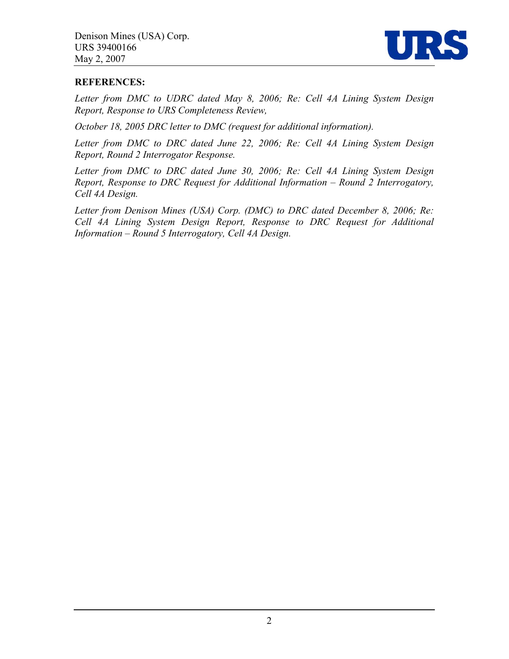

#### **REFERENCES:**

*Letter from DMC to UDRC dated May 8, 2006; Re: Cell 4A Lining System Design Report, Response to URS Completeness Review,* 

*October 18, 2005 DRC letter to DMC (request for additional information).* 

*Letter from DMC to DRC dated June 22, 2006; Re: Cell 4A Lining System Design Report, Round 2 Interrogator Response.* 

*Letter from DMC to DRC dated June 30, 2006; Re: Cell 4A Lining System Design Report, Response to DRC Request for Additional Information – Round 2 Interrogatory, Cell 4A Design.* 

*Letter from Denison Mines (USA) Corp. (DMC) to DRC dated December 8, 2006; Re: Cell 4A Lining System Design Report, Response to DRC Request for Additional Information – Round 5 Interrogatory, Cell 4A Design.*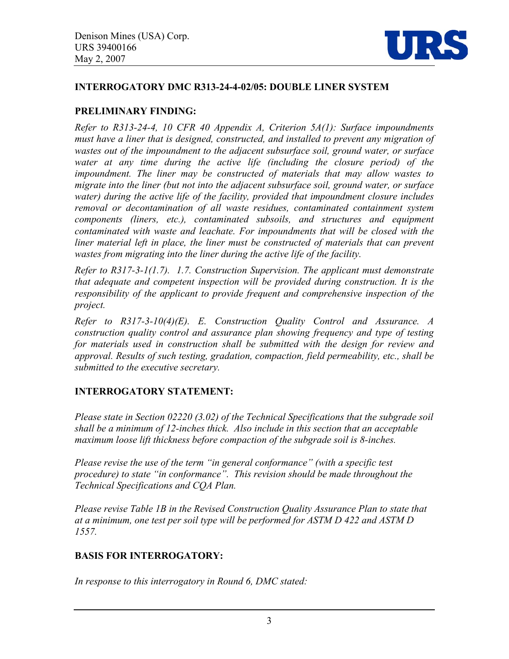

#### **INTERROGATORY DMC R313-24-4-02/05: DOUBLE LINER SYSTEM**

#### **PRELIMINARY FINDING:**

*Refer to R313-24-4, 10 CFR 40 Appendix A, Criterion 5A(1): Surface impoundments must have a liner that is designed, constructed, and installed to prevent any migration of wastes out of the impoundment to the adjacent subsurface soil, ground water, or surface water at any time during the active life (including the closure period) of the impoundment. The liner may be constructed of materials that may allow wastes to migrate into the liner (but not into the adjacent subsurface soil, ground water, or surface water) during the active life of the facility, provided that impoundment closure includes removal or decontamination of all waste residues, contaminated containment system components (liners, etc.), contaminated subsoils, and structures and equipment contaminated with waste and leachate. For impoundments that will be closed with the*  liner material left in place, the liner must be constructed of materials that can prevent *wastes from migrating into the liner during the active life of the facility.* 

*Refer to R317-3-1(1.7). 1.7. Construction Supervision. The applicant must demonstrate that adequate and competent inspection will be provided during construction. It is the responsibility of the applicant to provide frequent and comprehensive inspection of the project.* 

*Refer to R317-3-10(4)(E). E. Construction Quality Control and Assurance. A construction quality control and assurance plan showing frequency and type of testing for materials used in construction shall be submitted with the design for review and approval. Results of such testing, gradation, compaction, field permeability, etc., shall be submitted to the executive secretary.* 

## **INTERROGATORY STATEMENT:**

*Please state in Section 02220 (3.02) of the Technical Specifications that the subgrade soil shall be a minimum of 12-inches thick. Also include in this section that an acceptable maximum loose lift thickness before compaction of the subgrade soil is 8-inches.* 

*Please revise the use of the term "in general conformance" (with a specific test procedure) to state "in conformance". This revision should be made throughout the Technical Specifications and CQA Plan.* 

*Please revise Table 1B in the Revised Construction Quality Assurance Plan to state that at a minimum, one test per soil type will be performed for ASTM D 422 and ASTM D 1557.* 

## **BASIS FOR INTERROGATORY:**

*In response to this interrogatory in Round 6, DMC stated:*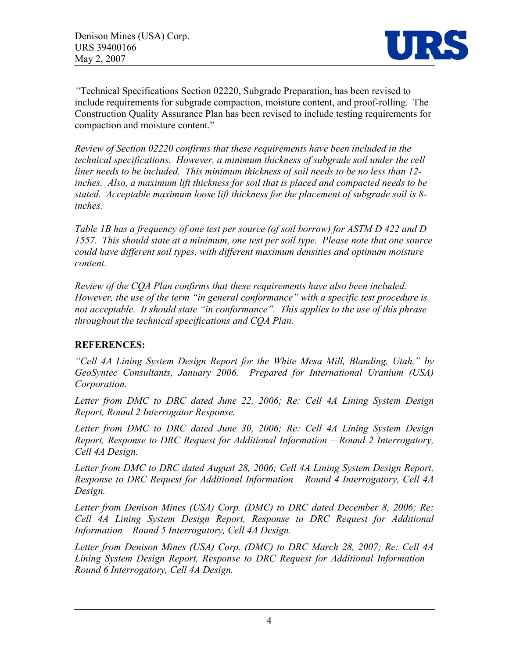

*"*Technical Specifications Section 02220, Subgrade Preparation, has been revised to include requirements for subgrade compaction, moisture content, and proof-rolling. The Construction Quality Assurance Plan has been revised to include testing requirements for compaction and moisture content."

*Review of Section 02220 confirms that these requirements have been included in the technical specifications. However, a minimum thickness of subgrade soil under the cell liner needs to be included. This minimum thickness of soil needs to be no less than 12 inches. Also, a maximum lift thickness for soil that is placed and compacted needs to be stated. Acceptable maximum loose lift thickness for the placement of subgrade soil is 8 inches.* 

*Table 1B has a frequency of one test per source (of soil borrow) for ASTM D 422 and D 1557. This should state at a minimum, one test per soil type. Please note that one source could have different soil types, with different maximum densities and optimum moisture content.* 

*Review of the CQA Plan confirms that these requirements have also been included. However, the use of the term "in general conformance" with a specific test procedure is not acceptable. It should state "in conformance". This applies to the use of this phrase throughout the technical specifications and CQA Plan.* 

## **REFERENCES:**

*"Cell 4A Lining System Design Report for the White Mesa Mill, Blanding, Utah," by GeoSyntec Consultants, January 2006. Prepared for International Uranium (USA) Corporation.*

*Letter from DMC to DRC dated June 22, 2006; Re: Cell 4A Lining System Design Report, Round 2 Interrogator Response.* 

*Letter from DMC to DRC dated June 30, 2006; Re: Cell 4A Lining System Design Report, Response to DRC Request for Additional Information – Round 2 Interrogatory, Cell 4A Design.* 

*Letter from DMC to DRC dated August 28, 2006; Cell 4A Lining System Design Report, Response to DRC Request for Additional Information – Round 4 Interrogatory, Cell 4A Design.* 

*Letter from Denison Mines (USA) Corp. (DMC) to DRC dated December 8, 2006; Re: Cell 4A Lining System Design Report, Response to DRC Request for Additional Information – Round 5 Interrogatory, Cell 4A Design.* 

*Letter from Denison Mines (USA) Corp. (DMC) to DRC March 28, 2007; Re: Cell 4A Lining System Design Report, Response to DRC Request for Additional Information – Round 6 Interrogatory, Cell 4A Design.*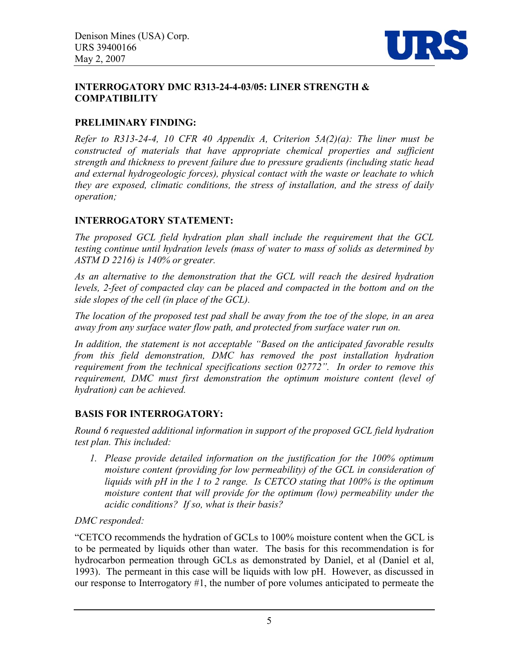

#### **INTERROGATORY DMC R313-24-4-03/05: LINER STRENGTH & COMPATIBILITY**

## **PRELIMINARY FINDING:**

*Refer to R313-24-4, 10 CFR 40 Appendix A, Criterion 5A(2)(a): The liner must be constructed of materials that have appropriate chemical properties and sufficient strength and thickness to prevent failure due to pressure gradients (including static head and external hydrogeologic forces), physical contact with the waste or leachate to which they are exposed, climatic conditions, the stress of installation, and the stress of daily operation;*

## **INTERROGATORY STATEMENT:**

*The proposed GCL field hydration plan shall include the requirement that the GCL testing continue until hydration levels (mass of water to mass of solids as determined by ASTM D 2216) is 140% or greater.* 

*As an alternative to the demonstration that the GCL will reach the desired hydration*  levels, 2-feet of compacted clay can be placed and compacted in the bottom and on the *side slopes of the cell (in place of the GCL).* 

*The location of the proposed test pad shall be away from the toe of the slope, in an area away from any surface water flow path, and protected from surface water run on.*

*In addition, the statement is not acceptable "Based on the anticipated favorable results from this field demonstration, DMC has removed the post installation hydration requirement from the technical specifications section 02772". In order to remove this requirement, DMC must first demonstration the optimum moisture content (level of hydration) can be achieved.* 

## **BASIS FOR INTERROGATORY:**

*Round 6 requested additional information in support of the proposed GCL field hydration test plan. This included:* 

*1. Please provide detailed information on the justification for the 100% optimum moisture content (providing for low permeability) of the GCL in consideration of liquids with pH in the 1 to 2 range. Is CETCO stating that 100% is the optimum moisture content that will provide for the optimum (low) permeability under the acidic conditions? If so, what is their basis?* 

*DMC responded:* 

"CETCO recommends the hydration of GCLs to 100% moisture content when the GCL is to be permeated by liquids other than water. The basis for this recommendation is for hydrocarbon permeation through GCLs as demonstrated by Daniel, et al (Daniel et al, 1993). The permeant in this case will be liquids with low pH. However, as discussed in our response to Interrogatory #1, the number of pore volumes anticipated to permeate the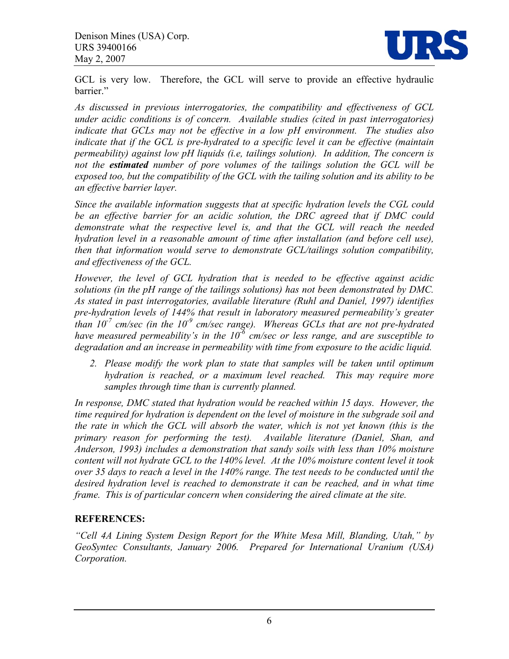

GCL is very low. Therefore, the GCL will serve to provide an effective hydraulic barrier."

*As discussed in previous interrogatories, the compatibility and effectiveness of GCL under acidic conditions is of concern. Available studies (cited in past interrogatories) indicate that GCLs may not be effective in a low pH environment. The studies also indicate that if the GCL is pre-hydrated to a specific level it can be effective (maintain permeability) against low pH liquids (i.e, tailings solution). In addition, The concern is not the estimated number of pore volumes of the tailings solution the GCL will be exposed too, but the compatibility of the GCL with the tailing solution and its ability to be an effective barrier layer.* 

*Since the available information suggests that at specific hydration levels the CGL could be an effective barrier for an acidic solution, the DRC agreed that if DMC could demonstrate what the respective level is, and that the GCL will reach the needed hydration level in a reasonable amount of time after installation (and before cell use), then that information would serve to demonstrate GCL/tailings solution compatibility, and effectiveness of the GCL.* 

*However, the level of GCL hydration that is needed to be effective against acidic solutions (in the pH range of the tailings solutions) has not been demonstrated by DMC. As stated in past interrogatories, available literature (Ruhl and Daniel, 1997) identifies pre-hydration levels of 144% that result in laboratory measured permeability's greater than*  $10^7$  *cm/sec (in the*  $10^9$  *cm/sec range). Whereas GCLs that are not pre-hydrated have measured permeability's in the 10-6 cm/sec or less range, and are susceptible to degradation and an increase in permeability with time from exposure to the acidic liquid.* 

*2. Please modify the work plan to state that samples will be taken until optimum hydration is reached, or a maximum level reached. This may require more samples through time than is currently planned.* 

*In response, DMC stated that hydration would be reached within 15 days. However, the time required for hydration is dependent on the level of moisture in the subgrade soil and the rate in which the GCL will absorb the water, which is not yet known (this is the primary reason for performing the test). Available literature (Daniel, Shan, and Anderson, 1993) includes a demonstration that sandy soils with less than 10% moisture content will not hydrate GCL to the 140% level. At the 10% moisture content level it took over 35 days to reach a level in the 140% range. The test needs to be conducted until the*  desired hydration level is reached to demonstrate it can be reached, and in what time *frame. This is of particular concern when considering the aired climate at the site.* 

## **REFERENCES:**

*"Cell 4A Lining System Design Report for the White Mesa Mill, Blanding, Utah," by GeoSyntec Consultants, January 2006. Prepared for International Uranium (USA) Corporation.*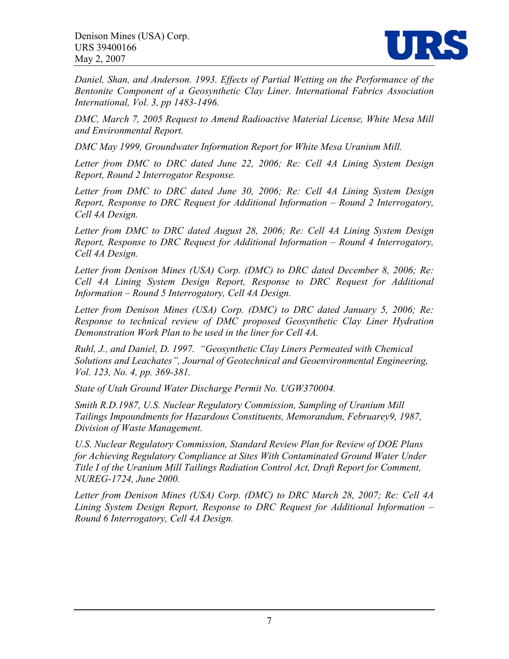

*Daniel, Shan, and Anderson. 1993. Effects of Partial Wetting on the Performance of the Bentonite Component of a Geosynthetic Clay Liner. International Fabrics Association International, Vol. 3, pp 1483-1496.* 

*DMC, March 7, 2005 Request to Amend Radioactive Material License, White Mesa Mill and Environmental Report.* 

*DMC May 1999, Groundwater Information Report for White Mesa Uranium Mill.* 

*Letter from DMC to DRC dated June 22, 2006; Re: Cell 4A Lining System Design Report, Round 2 Interrogator Response.* 

*Letter from DMC to DRC dated June 30, 2006; Re: Cell 4A Lining System Design Report, Response to DRC Request for Additional Information – Round 2 Interrogatory, Cell 4A Design.* 

*Letter from DMC to DRC dated August 28, 2006; Re: Cell 4A Lining System Design Report, Response to DRC Request for Additional Information – Round 4 Interrogatory, Cell 4A Design.* 

*Letter from Denison Mines (USA) Corp. (DMC) to DRC dated December 8, 2006; Re: Cell 4A Lining System Design Report, Response to DRC Request for Additional Information – Round 5 Interrogatory, Cell 4A Design.* 

*Letter from Denison Mines (USA) Corp. (DMC) to DRC dated January 5, 2006; Re: Response to technical review of DMC proposed Geosynthetic Clay Liner Hydration Demonstration Work Plan to be used in the liner for Cell 4A.* 

*Ruhl, J., and Daniel, D. 1997. "Geosynthetic Clay Liners Permeated with Chemical Solutions and Leachates", Journal of Geotechnical and Geoenvironmental Engineering, Vol. 123, No. 4, pp. 369-381.* 

*State of Utah Ground Water Discharge Permit No. UGW370004.* 

*Smith R.D.1987, U.S. Nuclear Regulatory Commission, Sampling of Uranium Mill Tailings Impoundments for Hazardous Constituents, Memorandum, Februarey9, 1987, Division of Waste Management.* 

*U.S. Nuclear Regulatory Commission, Standard Review Plan for Review of DOE Plans for Achieving Regulatory Compliance at Sites With Contaminated Ground Water Under Title I of the Uranium Mill Tailings Radiation Control Act, Draft Report for Comment, NUREG-1724, June 2000.* 

*Letter from Denison Mines (USA) Corp. (DMC) to DRC March 28, 2007; Re: Cell 4A Lining System Design Report, Response to DRC Request for Additional Information – Round 6 Interrogatory, Cell 4A Design.*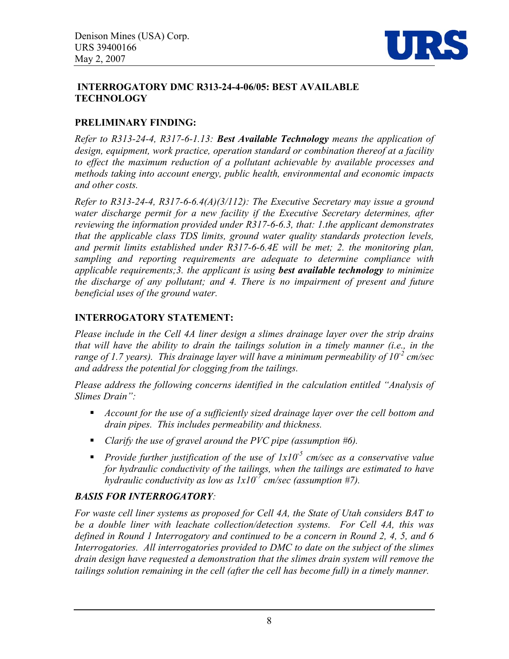

#### **INTERROGATORY DMC R313-24-4-06/05: BEST AVAILABLE TECHNOLOGY**

## **PRELIMINARY FINDING:**

*Refer to R313-24-4, R317-6-1.13: Best Available Technology means the application of design, equipment, work practice, operation standard or combination thereof at a facility to effect the maximum reduction of a pollutant achievable by available processes and methods taking into account energy, public health, environmental and economic impacts and other costs.* 

*Refer to R313-24-4, R317-6-6.4(A)(3/112): The Executive Secretary may issue a ground*  water discharge permit for a new facility if the Executive Secretary determines, after *reviewing the information provided under R317-6-6.3, that: 1.the applicant demonstrates that the applicable class TDS limits, ground water quality standards protection levels, and permit limits established under R317-6-6.4E will be met; 2. the monitoring plan, sampling and reporting requirements are adequate to determine compliance with applicable requirements;3. the applicant is using best available technology to minimize the discharge of any pollutant; and 4. There is no impairment of present and future beneficial uses of the ground water.*

#### **INTERROGATORY STATEMENT:**

*Please include in the Cell 4A liner design a slimes drainage layer over the strip drains that will have the ability to drain the tailings solution in a timely manner (i.e., in the range of 1.7 years). This drainage layer will have a minimum permeability of 10<sup>-2</sup> cm/sec and address the potential for clogging from the tailings.* 

*Please address the following concerns identified in the calculation entitled "Analysis of Slimes Drain":* 

- *Account for the use of a sufficiently sized drainage layer over the cell bottom and drain pipes. This includes permeability and thickness.*
- *Clarify the use of gravel around the PVC pipe (assumption #6).*
- *Provide further justification of the use of 1x10-5 cm/sec as a conservative value for hydraulic conductivity of the tailings, when the tailings are estimated to have hydraulic conductivity as low as 1x10-7 cm/sec (assumption #7).*

## *BASIS FOR INTERROGATORY:*

*For waste cell liner systems as proposed for Cell 4A, the State of Utah considers BAT to be a double liner with leachate collection/detection systems. For Cell 4A, this was defined in Round 1 Interrogatory and continued to be a concern in Round 2, 4, 5, and 6 Interrogatories. All interrogatories provided to DMC to date on the subject of the slimes drain design have requested a demonstration that the slimes drain system will remove the tailings solution remaining in the cell (after the cell has become full) in a timely manner.*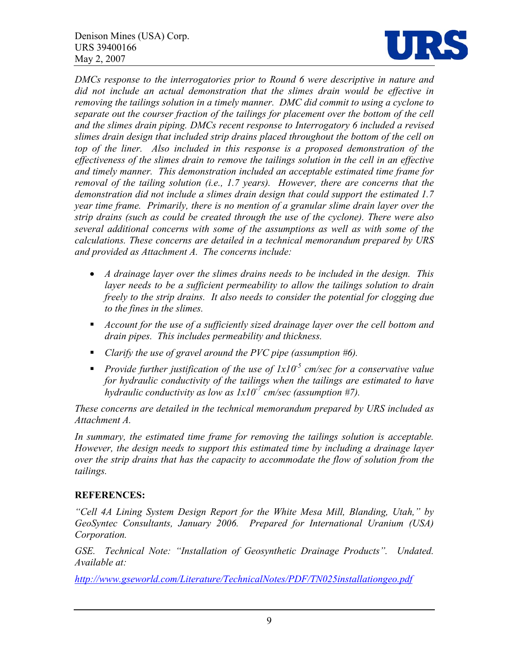

*DMCs response to the interrogatories prior to Round 6 were descriptive in nature and*  did not include an actual demonstration that the slimes drain would be effective in *removing the tailings solution in a timely manner. DMC did commit to using a cyclone to separate out the courser fraction of the tailings for placement over the bottom of the cell and the slimes drain piping. DMCs recent response to Interrogatory 6 included a revised slimes drain design that included strip drains placed throughout the bottom of the cell on top of the liner. Also included in this response is a proposed demonstration of the effectiveness of the slimes drain to remove the tailings solution in the cell in an effective and timely manner. This demonstration included an acceptable estimated time frame for removal of the tailing solution (i.e., 1.7 years). However, there are concerns that the demonstration did not include a slimes drain design that could support the estimated 1.7 year time frame. Primarily, there is no mention of a granular slime drain layer over the strip drains (such as could be created through the use of the cyclone). There were also several additional concerns with some of the assumptions as well as with some of the calculations. These concerns are detailed in a technical memorandum prepared by URS and provided as Attachment A. The concerns include:* 

- *A drainage layer over the slimes drains needs to be included in the design. This*  layer needs to be a sufficient permeability to allow the tailings solution to drain *freely to the strip drains. It also needs to consider the potential for clogging due to the fines in the slimes.*
- *Account for the use of a sufficiently sized drainage layer over the cell bottom and drain pipes. This includes permeability and thickness.*
- *Clarify the use of gravel around the PVC pipe (assumption #6).*
- **Provide further justification of the use of**  $1x10<sup>-5</sup>$  **cm/sec for a conservative value** *for hydraulic conductivity of the tailings when the tailings are estimated to have hydraulic conductivity as low as 1x10-7 cm/sec (assumption #7).*

*These concerns are detailed in the technical memorandum prepared by URS included as Attachment A.* 

In summary, the estimated time frame for removing the tailings solution is acceptable. *However, the design needs to support this estimated time by including a drainage layer over the strip drains that has the capacity to accommodate the flow of solution from the tailings.* 

## **REFERENCES:**

*"Cell 4A Lining System Design Report for the White Mesa Mill, Blanding, Utah," by GeoSyntec Consultants, January 2006. Prepared for International Uranium (USA) Corporation.*

*GSE. Technical Note: "Installation of Geosynthetic Drainage Products". Undated. Available at:* 

*http://www.gseworld.com/Literature/TechnicalNotes/PDF/TN025installationgeo.pdf*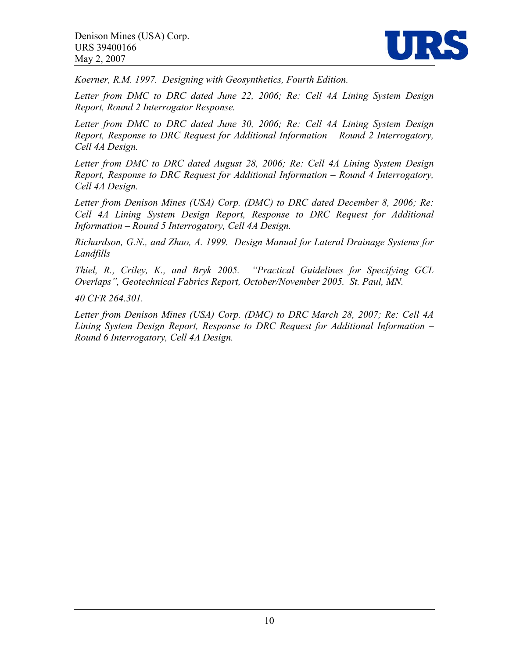

*Koerner, R.M. 1997. Designing with Geosynthetics, Fourth Edition.* 

*Letter from DMC to DRC dated June 22, 2006; Re: Cell 4A Lining System Design Report, Round 2 Interrogator Response.* 

*Letter from DMC to DRC dated June 30, 2006; Re: Cell 4A Lining System Design Report, Response to DRC Request for Additional Information – Round 2 Interrogatory, Cell 4A Design.* 

*Letter from DMC to DRC dated August 28, 2006; Re: Cell 4A Lining System Design Report, Response to DRC Request for Additional Information – Round 4 Interrogatory, Cell 4A Design.* 

*Letter from Denison Mines (USA) Corp. (DMC) to DRC dated December 8, 2006; Re: Cell 4A Lining System Design Report, Response to DRC Request for Additional Information – Round 5 Interrogatory, Cell 4A Design.* 

*Richardson, G.N., and Zhao, A. 1999. Design Manual for Lateral Drainage Systems for Landfills* 

*Thiel, R., Criley, K., and Bryk 2005. "Practical Guidelines for Specifying GCL Overlaps", Geotechnical Fabrics Report, October/November 2005. St. Paul, MN.* 

*40 CFR 264.301.* 

*Letter from Denison Mines (USA) Corp. (DMC) to DRC March 28, 2007; Re: Cell 4A Lining System Design Report, Response to DRC Request for Additional Information – Round 6 Interrogatory, Cell 4A Design.*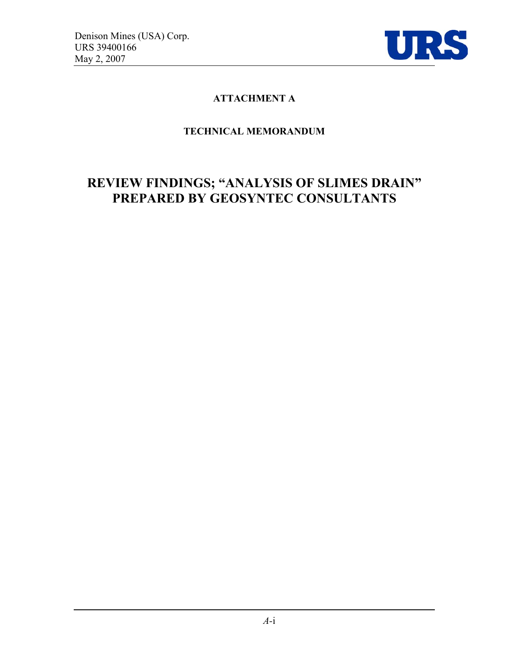

## **ATTACHMENT A**

## **TECHNICAL MEMORANDUM**

## **REVIEW FINDINGS; "ANALYSIS OF SLIMES DRAIN" PREPARED BY GEOSYNTEC CONSULTANTS**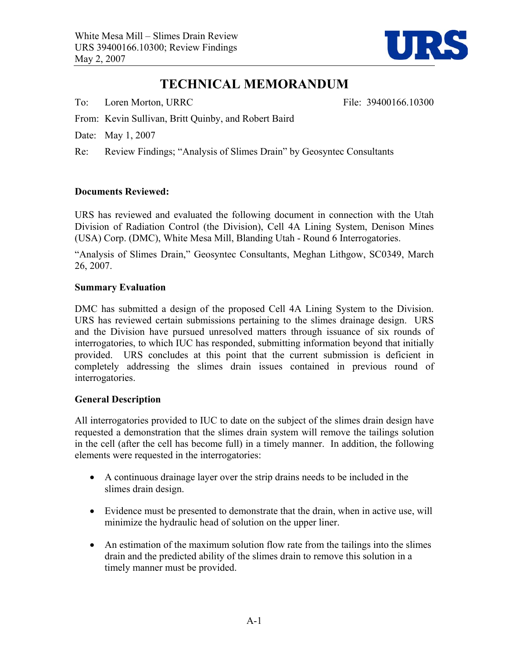

## **TECHNICAL MEMORANDUM**

To: Loren Morton, URRC File: 39400166.10300

- From: Kevin Sullivan, Britt Quinby, and Robert Baird
- Date: May 1, 2007
- Re: Review Findings; "Analysis of Slimes Drain" by Geosyntec Consultants

#### **Documents Reviewed:**

URS has reviewed and evaluated the following document in connection with the Utah Division of Radiation Control (the Division), Cell 4A Lining System, Denison Mines (USA) Corp. (DMC), White Mesa Mill, Blanding Utah - Round 6 Interrogatories.

"Analysis of Slimes Drain," Geosyntec Consultants, Meghan Lithgow, SC0349, March 26, 2007.

#### **Summary Evaluation**

DMC has submitted a design of the proposed Cell 4A Lining System to the Division. URS has reviewed certain submissions pertaining to the slimes drainage design. URS and the Division have pursued unresolved matters through issuance of six rounds of interrogatories, to which IUC has responded, submitting information beyond that initially provided. URS concludes at this point that the current submission is deficient in completely addressing the slimes drain issues contained in previous round of interrogatories.

#### **General Description**

All interrogatories provided to IUC to date on the subject of the slimes drain design have requested a demonstration that the slimes drain system will remove the tailings solution in the cell (after the cell has become full) in a timely manner. In addition, the following elements were requested in the interrogatories:

- A continuous drainage layer over the strip drains needs to be included in the slimes drain design.
- Evidence must be presented to demonstrate that the drain, when in active use, will minimize the hydraulic head of solution on the upper liner.
- An estimation of the maximum solution flow rate from the tailings into the slimes drain and the predicted ability of the slimes drain to remove this solution in a timely manner must be provided.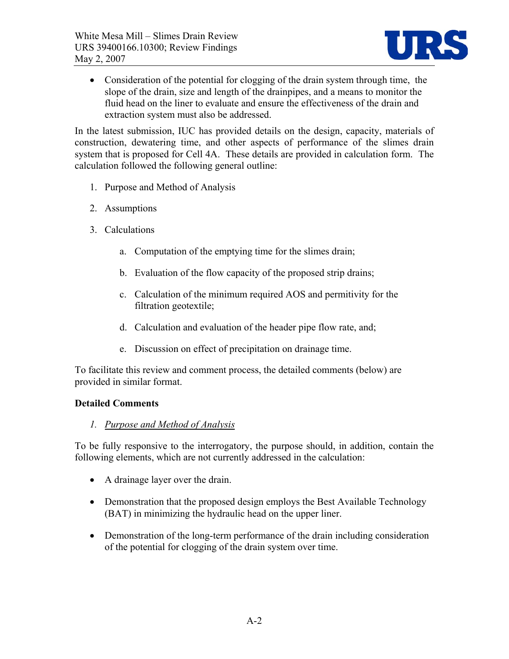

• Consideration of the potential for clogging of the drain system through time, the slope of the drain, size and length of the drainpipes, and a means to monitor the fluid head on the liner to evaluate and ensure the effectiveness of the drain and extraction system must also be addressed.

In the latest submission, IUC has provided details on the design, capacity, materials of construction, dewatering time, and other aspects of performance of the slimes drain system that is proposed for Cell 4A. These details are provided in calculation form. The calculation followed the following general outline:

- 1. Purpose and Method of Analysis
- 2. Assumptions
- 3. Calculations
	- a. Computation of the emptying time for the slimes drain;
	- b. Evaluation of the flow capacity of the proposed strip drains;
	- c. Calculation of the minimum required AOS and permitivity for the filtration geotextile;
	- d. Calculation and evaluation of the header pipe flow rate, and;
	- e. Discussion on effect of precipitation on drainage time.

To facilitate this review and comment process, the detailed comments (below) are provided in similar format.

#### **Detailed Comments**

#### *1. Purpose and Method of Analysis*

To be fully responsive to the interrogatory, the purpose should, in addition, contain the following elements, which are not currently addressed in the calculation:

- A drainage layer over the drain.
- Demonstration that the proposed design employs the Best Available Technology (BAT) in minimizing the hydraulic head on the upper liner.
- Demonstration of the long-term performance of the drain including consideration of the potential for clogging of the drain system over time.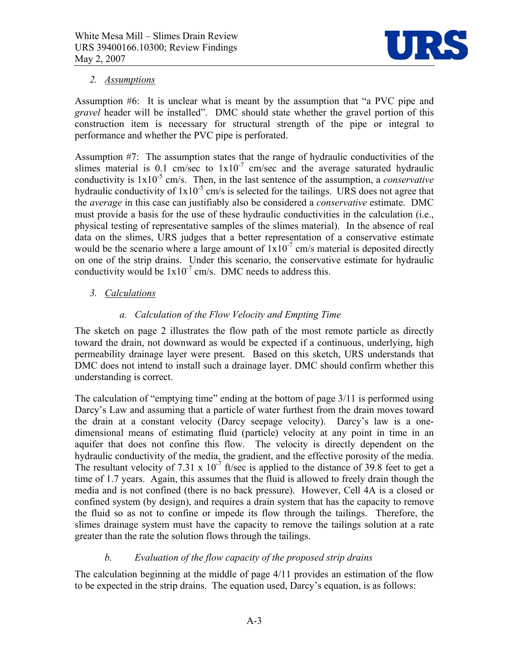

#### *2. Assumptions*

Assumption #6: It is unclear what is meant by the assumption that "a PVC pipe and *gravel* header will be installed". DMC should state whether the gravel portion of this construction item is necessary for structural strength of the pipe or integral to performance and whether the PVC pipe is perforated.

Assumption #7: The assumption states that the range of hydraulic conductivities of the slimes material is 0.1 cm/sec to  $1x10^{-7}$  cm/sec and the average saturated hydraulic conductivity is 1x10-5 cm/s. Then, in the last sentence of the assumption, a *conservative*  hydraulic conductivity of  $1x10^{-5}$  cm/s is selected for the tailings. URS does not agree that the *average* in this case can justifiably also be considered a *conservative* estimate. DMC must provide a basis for the use of these hydraulic conductivities in the calculation (i.e., physical testing of representative samples of the slimes material). In the absence of real data on the slimes, URS judges that a better representation of a conservative estimate would be the scenario where a large amount of  $1x10^{-7}$  cm/s material is deposited directly on one of the strip drains. Under this scenario, the conservative estimate for hydraulic conductivity would be  $1x10^{-7}$  cm/s. DMC needs to address this.

## *3. Calculations*

#### *a. Calculation of the Flow Velocity and Empting Time*

The sketch on page 2 illustrates the flow path of the most remote particle as directly toward the drain, not downward as would be expected if a continuous, underlying, high permeability drainage layer were present. Based on this sketch, URS understands that DMC does not intend to install such a drainage layer. DMC should confirm whether this understanding is correct.

The calculation of "emptying time" ending at the bottom of page 3/11 is performed using Darcy's Law and assuming that a particle of water furthest from the drain moves toward the drain at a constant velocity (Darcy seepage velocity). Darcy's law is a onedimensional means of estimating fluid (particle) velocity at any point in time in an aquifer that does not confine this flow. The velocity is directly dependent on the hydraulic conductivity of the media, the gradient, and the effective porosity of the media. The resultant velocity of 7.31 x  $10^{-7}$  ft/sec is applied to the distance of 39.8 feet to get a time of 1.7 years. Again, this assumes that the fluid is allowed to freely drain though the media and is not confined (there is no back pressure). However, Cell 4A is a closed or confined system (by design), and requires a drain system that has the capacity to remove the fluid so as not to confine or impede its flow through the tailings. Therefore, the slimes drainage system must have the capacity to remove the tailings solution at a rate greater than the rate the solution flows through the tailings.

#### *b. Evaluation of the flow capacity of the proposed strip drains*

The calculation beginning at the middle of page 4/11 provides an estimation of the flow to be expected in the strip drains. The equation used, Darcy's equation, is as follows: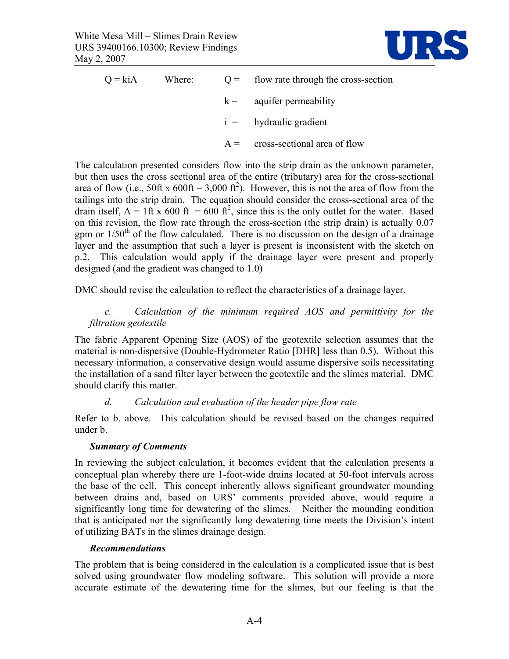

| $Q = k\dot{A}$ | Where: | $Q =$ flow rate through the cross-section |
|----------------|--------|-------------------------------------------|
|                |        | $k =$ aquifer permeability                |
|                |        | $i =$ hydraulic gradient                  |
|                |        | $A = \text{cross-sectional area of flow}$ |

The calculation presented considers flow into the strip drain as the unknown parameter, but then uses the cross sectional area of the entire (tributary) area for the cross-sectional area of flow (i.e., 50ft x 600ft = 3,000 ft<sup>2</sup>). However, this is not the area of flow from the tailings into the strip drain. The equation should consider the cross-sectional area of the drain itself,  $A = 1$ ft x 600 ft = 600 ft<sup>2</sup>, since this is the only outlet for the water. Based on this revision, the flow rate through the cross-section (the strip drain) is actually 0.07 gpm or  $1/50<sup>th</sup>$  of the flow calculated. There is no discussion on the design of a drainage layer and the assumption that such a layer is present is inconsistent with the sketch on p.2. This calculation would apply if the drainage layer were present and properly designed (and the gradient was changed to 1.0)

DMC should revise the calculation to reflect the characteristics of a drainage layer.

#### *c. Calculation of the minimum required AOS and permittivity for the filtration geotextile*

The fabric Apparent Opening Size (AOS) of the geotextile selection assumes that the material is non-dispersive (Double-Hydrometer Ratio [DHR] less than 0.5). Without this necessary information, a conservative design would assume dispersive soils necessitating the installation of a sand filter layer between the geotextile and the slimes material. DMC should clarify this matter.

#### *d. Calculation and evaluation of the header pipe flow rate*

Refer to b. above. This calculation should be revised based on the changes required under b.

#### *Summary of Comments*

In reviewing the subject calculation, it becomes evident that the calculation presents a conceptual plan whereby there are 1-foot-wide drains located at 50-foot intervals across the base of the cell. This concept inherently allows significant groundwater mounding between drains and, based on URS' comments provided above, would require a significantly long time for dewatering of the slimes. Neither the mounding condition that is anticipated nor the significantly long dewatering time meets the Division's intent of utilizing BATs in the slimes drainage design*.* 

#### *Recommendations*

The problem that is being considered in the calculation is a complicated issue that is best solved using groundwater flow modeling software. This solution will provide a more accurate estimate of the dewatering time for the slimes, but our feeling is that the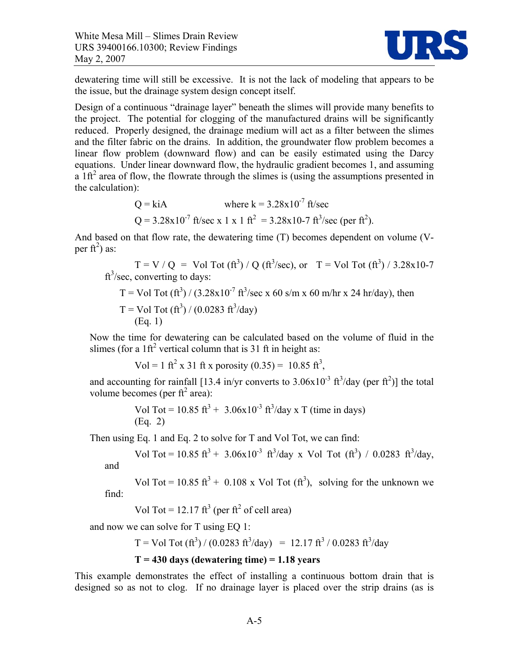

dewatering time will still be excessive. It is not the lack of modeling that appears to be the issue, but the drainage system design concept itself.

Design of a continuous "drainage layer" beneath the slimes will provide many benefits to the project. The potential for clogging of the manufactured drains will be significantly reduced. Properly designed, the drainage medium will act as a filter between the slimes and the filter fabric on the drains. In addition, the groundwater flow problem becomes a linear flow problem (downward flow) and can be easily estimated using the Darcy equations. Under linear downward flow, the hydraulic gradient becomes 1, and assuming  $a$  1ft<sup>2</sup> area of flow, the flowrate through the slimes is (using the assumptions presented in the calculation):

Q = kiA where k = 
$$
3.28 \times 10^{-7}
$$
 ft/sec  
Q =  $3.28 \times 10^{-7}$  ft/sec x 1 x 1 ft<sup>2</sup> =  $3.28 \times 10^{-7}$  ft/sec (per ft<sup>2</sup>).

And based on that flow rate, the dewatering time (T) becomes dependent on volume (Vper ft<sup>2</sup>) as:

 $T = V / Q = Vol Tot (ft<sup>3</sup>) / Q (ft<sup>3</sup>/sec), or T = Vol Tot (ft<sup>3</sup>) / 3.28x10-7$  $ft<sup>3</sup>/sec$ , converting to days:

T = Vol Tot (ft3 ) / (3.28x10-7 ft3 /sec x 60 s/m x 60 m/hr x 24 hr/day), then T = Vol Tot (ft3 ) / (0.0283 ft3 /day) (Eq. 1)

Now the time for dewatering can be calculated based on the volume of fluid in the slimes (for a  $1 \text{ft}^2$  vertical column that is 31 ft in height as:

Vol = 1 ft<sup>2</sup> x 31 ft x porosity (0.35) = 10.85 ft<sup>3</sup>,

and accounting for rainfall [13.4 in/yr converts to  $3.06 \times 10^{-3}$  ft<sup>3</sup>/day (per ft<sup>2</sup>)] the total volume becomes (per  $ft^2$  area):

Vol Tot = 10.85 ft<sup>3</sup> + 3.06x10<sup>-3</sup> ft<sup>3</sup>/day x T (time in days) (Eq. 2)

Then using Eq. 1 and Eq. 2 to solve for T and Vol Tot, we can find:

Vol Tot = 10.85 ft<sup>3</sup> + 3.06x10<sup>-3</sup> ft<sup>3</sup>/day x Vol Tot (ft<sup>3</sup>) / 0.0283 ft<sup>3</sup>/day,

and

Vol Tot = 10.85 ft<sup>3</sup> + 0.108 x Vol Tot  $(ft^3)$ , solving for the unknown we find:

Vol Tot = 12.17 ft<sup>3</sup> (per ft<sup>2</sup> of cell area)

and now we can solve for T using EQ 1:

T = Vol Tot  $(ft^3) / (0.0283 f t^3 / day) = 12.17 f t^3 / 0.0283 f t^3 / day$ 

#### **T = 430 days (dewatering time) = 1.18 years**

This example demonstrates the effect of installing a continuous bottom drain that is designed so as not to clog. If no drainage layer is placed over the strip drains (as is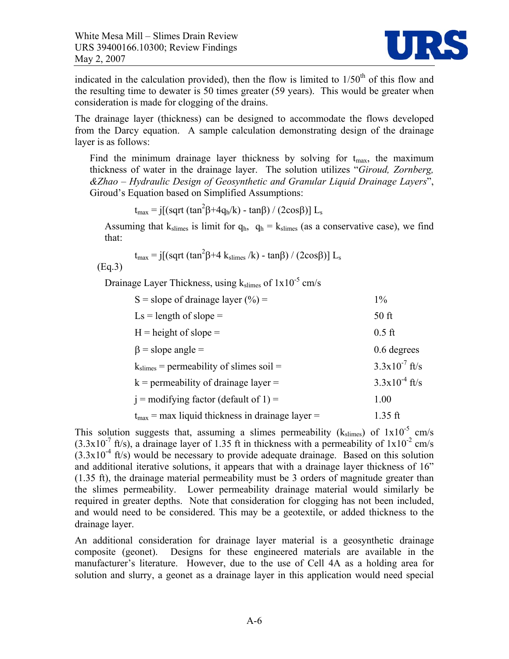

indicated in the calculation provided), then the flow is limited to  $1/50<sup>th</sup>$  of this flow and the resulting time to dewater is 50 times greater (59 years). This would be greater when consideration is made for clogging of the drains.

The drainage layer (thickness) can be designed to accommodate the flows developed from the Darcy equation. A sample calculation demonstrating design of the drainage layer is as follows:

Find the minimum drainage layer thickness by solving for  $t_{\text{max}}$ , the maximum thickness of water in the drainage layer. The solution utilizes "*Giroud, Zornberg, &Zhao – Hydraulic Design of Geosynthetic and Granular Liquid Drainage Layers*", Giroud's Equation based on Simplified Assumptions:

 $t_{\text{max}} = j[(sqrt(tan^2\beta + 4q_h/k) - tan\beta) / (2cos\beta)] L_s$ 

Assuming that  $k_{\text{slimes}}$  is limit for  $q_h$ ,  $q_h = k_{\text{slimes}}$  (as a conservative case), we find that:

$$
t_{\text{max}} = j[(sqrt(tan^2\beta + 4 \ k_{\text{slimes}}/k) - tan\beta) / (2cos\beta)] L_s
$$

(Eq.3)

Drainage Layer Thickness, using  $k_{\text{slimes}}$  of  $1x10^{-5}$  cm/s

| S = slope of drainage layer $(\% )$ =                | $1\%$              |
|------------------------------------------------------|--------------------|
| $Ls =$ length of slope =                             | 50 ft              |
| $H = height of slope =$                              | $0.5$ ft           |
| $\beta$ = slope angle =                              | 0.6 degrees        |
| $k_{\text{slimes}}$ = permeability of slimes soil =  | $3.3x10^{7}$ ft/s  |
| $k =$ permeability of drainage layer =               | $3.3x10^{-4}$ ft/s |
| $i =$ modifying factor (default of 1) =              | 1.00               |
| $t_{max}$ = max liquid thickness in drainage layer = | $1.35$ ft          |

This solution suggests that, assuming a slimes permeability ( $k_{\text{slimes}}$ ) of  $1x10^{-5}$  cm/s  $(3.3x10<sup>-7</sup>$  ft/s), a drainage layer of 1.35 ft in thickness with a permeability of  $1x10<sup>-2</sup>$  cm/s  $(3.3x10<sup>-4</sup>$  ft/s) would be necessary to provide adequate drainage. Based on this solution and additional iterative solutions, it appears that with a drainage layer thickness of 16" (1.35 ft), the drainage material permeability must be 3 orders of magnitude greater than the slimes permeability. Lower permeability drainage material would similarly be required in greater depths. Note that consideration for clogging has not been included, and would need to be considered. This may be a geotextile, or added thickness to the drainage layer.

An additional consideration for drainage layer material is a geosynthetic drainage composite (geonet). Designs for these engineered materials are available in the manufacturer's literature. However, due to the use of Cell 4A as a holding area for solution and slurry, a geonet as a drainage layer in this application would need special